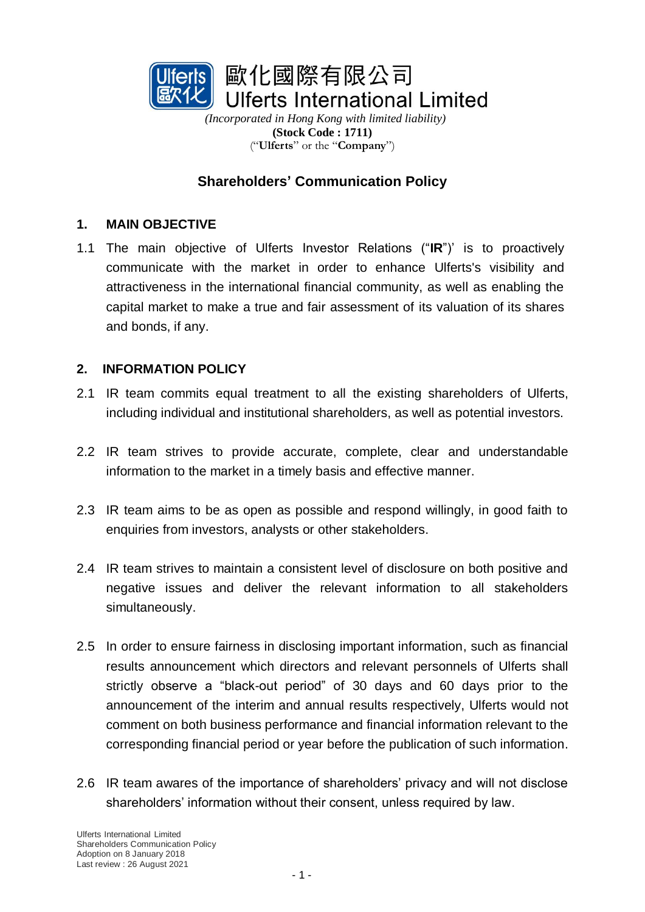

*(Incorporated in Hong Kong with limited liability)* **(Stock Code : 1711)** ("**Ulferts**" or the "**Company**")

# **Shareholders' Communication Policy**

#### **1. MAIN OBJECTIVE**

1.1 The main objective of Ulferts Investor Relations ("**IR**")' is to proactively communicate with the market in order to enhance Ulferts's visibility and attractiveness in the international financial community, as well as enabling the capital market to make a true and fair assessment of its valuation of its shares and bonds, if any.

#### **2. INFORMATION POLICY**

- 2.1 IR team commits equal treatment to all the existing shareholders of Ulferts, including individual and institutional shareholders, as well as potential investors.
- 2.2 IR team strives to provide accurate, complete, clear and understandable information to the market in a timely basis and effective manner.
- 2.3 IR team aims to be as open as possible and respond willingly, in good faith to enquiries from investors, analysts or other stakeholders.
- 2.4 IR team strives to maintain a consistent level of disclosure on both positive and negative issues and deliver the relevant information to all stakeholders simultaneously.
- 2.5 In order to ensure fairness in disclosing important information, such as financial results announcement which directors and relevant personnels of Ulferts shall strictly observe a "black-out period" of 30 days and 60 days prior to the announcement of the interim and annual results respectively, Ulferts would not comment on both business performance and financial information relevant to the corresponding financial period or year before the publication of such information.
- 2.6 IR team awares of the importance of shareholders' privacy and will not disclose shareholders' information without their consent, unless required by law.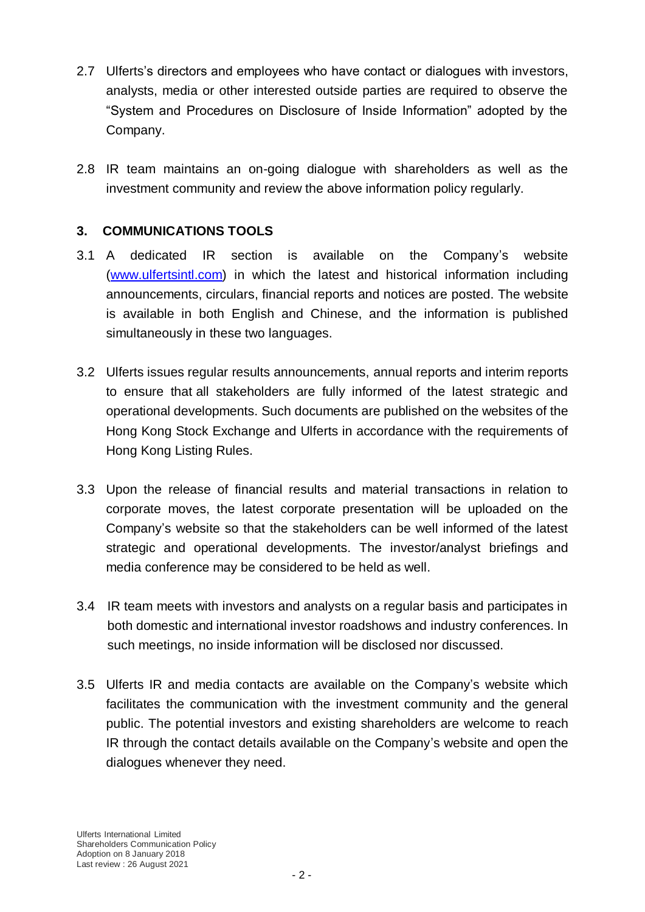- 2.7 Ulferts's directors and employees who have contact or dialogues with investors, analysts, media or other interested outside parties are required to observe the "System and Procedures on Disclosure of Inside Information" adopted by the Company.
- 2.8 IR team maintains an on-going dialogue with shareholders as well as the investment community and review the above information policy regularly.

### **3. COMMUNICATIONS TOOLS**

- 3.1 A dedicated IR section is available on the Company's website [\(www.ulfertsintl.com\)](http://www.ulfertsintl.com/) in which the latest and historical information including announcements, circulars, financial reports and notices are posted. The website is available in both English and Chinese, and the information is published simultaneously in these two languages.
- 3.2 Ulferts issues regular results announcements, annual reports and interim reports to ensure that all stakeholders are fully informed of the latest strategic and operational developments. Such documents are published on the websites of the Hong Kong Stock Exchange and Ulferts in accordance with the requirements of Hong Kong Listing Rules.
- 3.3 Upon the release of financial results and material transactions in relation to corporate moves, the latest corporate presentation will be uploaded on the Company's website so that the stakeholders can be well informed of the latest strategic and operational developments. The investor/analyst briefings and media conference may be considered to be held as well.
- 3.4 IR team meets with investors and analysts on a regular basis and participates in both domestic and international investor roadshows and industry conferences. In such meetings, no inside information will be disclosed nor discussed.
- 3.5 Ulferts IR and media contacts are available on the Company's website which facilitates the communication with the investment community and the general public. The potential investors and existing shareholders are welcome to reach IR through the contact details available on the Company's website and open the dialogues whenever they need.